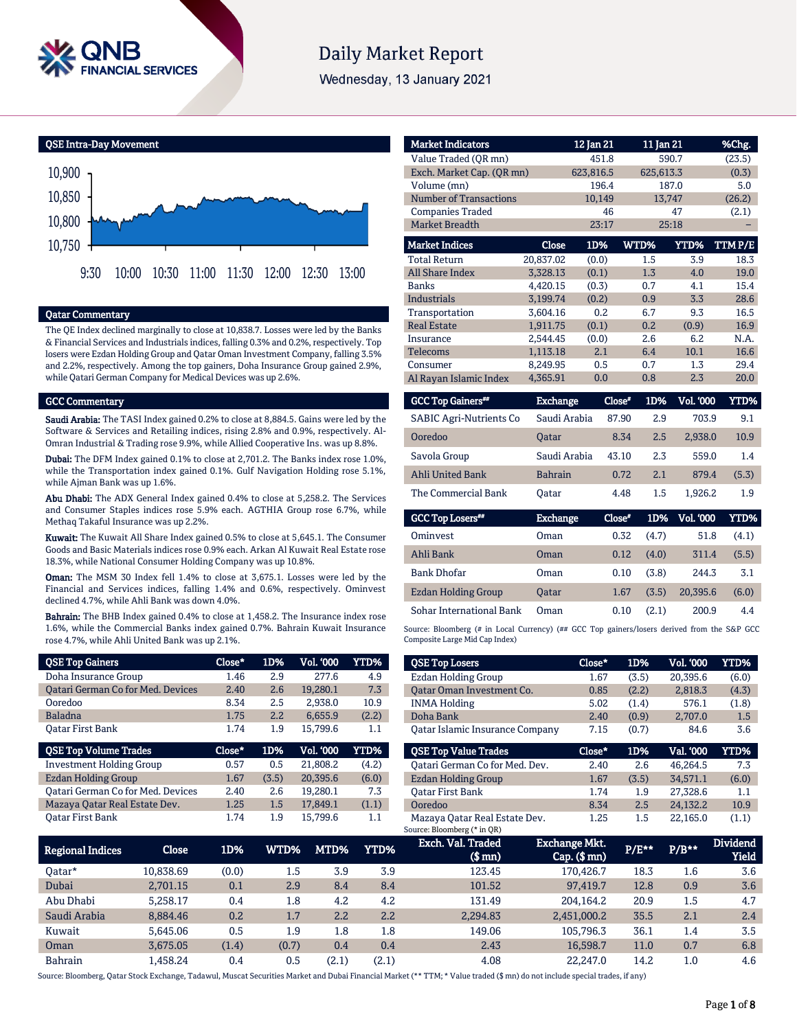

# **Daily Market Report**

Wednesday, 13 January 2021

QSE Intra-Day Movement



## Qatar Commentary

The QE Index declined marginally to close at 10,838.7. Losses were led by the Banks & Financial Services and Industrials indices, falling 0.3% and 0.2%, respectively. Top losers were Ezdan Holding Group and Qatar Oman Investment Company, falling 3.5% and 2.2%, respectively. Among the top gainers, Doha Insurance Group gained 2.9%, while Qatari German Company for Medical Devices was up 2.6%.

### GCC Commentary

Saudi Arabia: The TASI Index gained 0.2% to close at 8,884.5. Gains were led by the Software & Services and Retailing indices, rising 2.8% and 0.9%, respectively. Al-Omran Industrial & Trading rose 9.9%, while Allied Cooperative Ins. was up 8.8%.

Dubai: The DFM Index gained 0.1% to close at 2,701.2. The Banks index rose 1.0%, while the Transportation index gained 0.1%. Gulf Navigation Holding rose 5.1%, while Ajman Bank was up 1.6%.

Abu Dhabi: The ADX General Index gained 0.4% to close at 5,258.2. The Services and Consumer Staples indices rose 5.9% each. AGTHIA Group rose 6.7%, while Methaq Takaful Insurance was up 2.2%.

Kuwait: The Kuwait All Share Index gained 0.5% to close at 5,645.1. The Consumer Goods and Basic Materials indices rose 0.9% each. Arkan Al Kuwait Real Estate rose 18.3%, while National Consumer Holding Company was up 10.8%.

Oman: The MSM 30 Index fell 1.4% to close at 3,675.1. Losses were led by the Financial and Services indices, falling 1.4% and 0.6%, respectively. Ominvest declined 4.7%, while Ahli Bank was down 4.0%.

Bahrain: The BHB Index gained 0.4% to close at 1,458.2. The Insurance index rose 1.6%, while the Commercial Banks index gained 0.7%. Bahrain Kuwait Insurance rose 4.7%, while Ahli United Bank was up 2.1%.

| <b>QSE Top Gainers</b>                   | $Close*$ | 1D%   | Vol. '000 | YTD%  |
|------------------------------------------|----------|-------|-----------|-------|
| Doha Insurance Group                     | 1.46     | 2.9   | 277.6     | 4.9   |
| Oatari German Co for Med. Devices        | 2.40     | 2.6   | 19,280.1  | 7.3   |
| Ooredoo                                  | 8.34     | 2.5   | 2.938.0   | 10.9  |
| <b>Baladna</b>                           | 1.75     | 2.2   | 6,655.9   | (2.2) |
| <b>Oatar First Bank</b>                  | 1.74     | 1.9   | 15.799.6  | 1.1   |
|                                          |          |       |           |       |
| <b>QSE Top Volume Trades</b>             | Close*   | 1D%   | Vol. '000 | YTD%  |
| <b>Investment Holding Group</b>          | 0.57     | 0.5   | 21,808.2  | (4.2) |
| <b>Ezdan Holding Group</b>               | 1.67     | (3.5) | 20,395.6  | (6.0) |
| <b>Qatari German Co for Med. Devices</b> | 2.40     | 2.6   | 19.280.1  | 7.3   |
| Mazaya Qatar Real Estate Dev.            | 1.25     | 1.5   | 17,849.1  | (1.1) |

| <b>Market Indicators</b>  |           | 12 Jan 21 | 11 Jan 21 |        | %Chg.  |
|---------------------------|-----------|-----------|-----------|--------|--------|
| Value Traded (QR mn)      |           | 451.8     |           | 590.7  | (23.5) |
| Exch. Market Cap. (QR mn) |           | 623,816.5 | 625,613.3 |        | (0.3)  |
| Volume (mn)               |           | 196.4     |           | 187.0  | 5.0    |
| Number of Transactions    |           | 10.149    |           | 13,747 | (26.2) |
| <b>Companies Traded</b>   |           | 46        |           | 47     | (2.1)  |
| <b>Market Breadth</b>     |           | 23:17     |           | 25:18  |        |
| <b>Market Indices</b>     | Close     | 1D%       | WTD%      | YTD%   | TTMP/E |
| <b>Total Return</b>       | 20,837.02 | (0.0)     | $1.5\,$   | 3.9    | 18.3   |
| <b>All Share Index</b>    | 3,328.13  | (0.1)     | 1.3       | 4.0    | 19.0   |
| <b>Banks</b>              | 4,420.15  | (0.3)     | 0.7       | 4.1    | 15.4   |
| <b>Industrials</b>        | 3,199.74  | (0.2)     | 0.9       | 3.3    | 28.6   |
| Transportation            | 3,604.16  | 0.2       | 6.7       | 9.3    | 16.5   |
| <b>Real Estate</b>        | 1.911.75  | (0.1)     | 0.2       | (0.9)  | 16.9   |
| Insurance                 | 2.544.45  | (0.0)     | 2.6       | 6.2    | N.A.   |
| <b>Telecoms</b>           | 1,113.18  | 2.1       | 6.4       | 10.1   | 16.6   |
| Consumer                  | 8,249.95  | 0.5       | 0.7       | 1.3    | 29.4   |
| Al Rayan Islamic Index    | 4.365.91  | 0.0       | 0.8       | 2.3    | 20.0   |
|                           |           |           |           |        |        |

| <b>GCC Top Gainers</b> "       | <b>Exchange</b> | Close* | 1D% | <b>Vol. '000</b> | YTD%  |
|--------------------------------|-----------------|--------|-----|------------------|-------|
| <b>SABIC Agri-Nutrients Co</b> | Saudi Arabia    | 87.90  | 2.9 | 703.9            | 9.1   |
| Ooredoo                        | <b>Oatar</b>    | 8.34   | 2.5 | 2.938.0          | 10.9  |
| Savola Group                   | Saudi Arabia    | 43.10  | 2.3 | 559.0            | 1.4   |
| <b>Ahli United Bank</b>        | <b>Bahrain</b>  | 0.72   | 2.1 | 879.4            | (5.3) |
| The Commercial Bank            | Oatar           | 4.48   | 1.5 | 1.926.2          | 1.9   |

| <b>GCC Top Losers</b> "  | <b>Exchange</b> | Close* | 1D%   | <b>Vol. '000</b> | YTD%  |
|--------------------------|-----------------|--------|-------|------------------|-------|
| Ominyest                 | Oman            | 0.32   | (4.7) | 51.8             | (4.1) |
| Ahli Bank                | Oman            | 0.12   | (4.0) | 311.4            | (5.5) |
| <b>Bank Dhofar</b>       | Oman            | 0.10   | (3.8) | 244.3            | 3.1   |
| Ezdan Holding Group      | Oatar           | 1.67   | (3.5) | 20.395.6         | (6.0) |
| Sohar International Bank | Oman            | 0.10   | (2.1) | 200.9            | 4.4   |

Source: Bloomberg (# in Local Currency) (## GCC Top gainers/losers derived from the S&P GCC Composite Large Mid Cap Index)

| <b>QSE Top Losers</b>                  | Close* | 1D%   | Vol. '000 | <b>YTD%</b> |
|----------------------------------------|--------|-------|-----------|-------------|
| <b>Ezdan Holding Group</b>             | 1.67   | (3.5) | 20,395.6  | (6.0)       |
| Oatar Oman Investment Co.              | 0.85   | (2.2) | 2,818.3   | (4.3)       |
| <b>INMA Holding</b>                    | 5.02   | (1.4) | 576.1     | (1.8)       |
| Doha Bank                              | 2.40   | (0.9) | 2.707.0   | 1.5         |
| <b>Qatar Islamic Insurance Company</b> | 7.15   | (0.7) | 84.6      | 3.6         |
|                                        |        |       |           |             |
|                                        |        |       |           |             |
| <b>OSE Top Value Trades</b>            | Close* | 1D%   | Val. '000 | <b>YTD%</b> |
| Oatari German Co for Med. Dev.         | 2.40   | 2.6   | 46.264.5  | 7.3         |
| <b>Ezdan Holding Group</b>             | 1.67   | (3.5) | 34,571.1  | (6.0)       |
| Oatar First Bank                       | 1.74   | 1.9   | 27.328.6  | 1.1         |
| Ooredoo                                | 8.34   | 2.5   | 24,132.2  | 10.9        |

Mazaya Qatar Real Estate Dev. 1.25 1.5 22,165.0 (1.1) Source: Bloomberg (\* in QR)

| <b>Regional Indices</b> | Close     | 1D%   | WTD%    | MTD%  | YTD%  | Exch. Val. Traded<br>$$$ mn $)$ | <b>Exchange Mkt.</b><br>$Cap.$ $(\$$ mn $)$ | $P/E***$ | $P/B**$ | <b>Dividend</b><br>Yield |
|-------------------------|-----------|-------|---------|-------|-------|---------------------------------|---------------------------------------------|----------|---------|--------------------------|
| Oatar*                  | 10.838.69 | (0.0) | 1.5     | 3.9   | 3.9   | 123.45                          | 170.426.7                                   | 18.3     | 1.6     | 3.6                      |
| Dubai                   | 2,701.15  | 0.1   | 2.9     | 8.4   | 8.4   | 101.52                          | 97.419.7                                    | 12.8     | 0.9     | 3.6                      |
| Abu Dhabi               | 5.258.17  | 0.4   | $1.8\,$ | 4.2   | 4.2   | 131.49                          | 204.164.2                                   | 20.9     | 1.5     | 4.7                      |
| Saudi Arabia            | 8.884.46  | 0.2   | 1.7     | 2.2   | 2.2   | 2.294.83                        | 2.451.000.2                                 | 35.5     | 2.1     | 2.4                      |
| Kuwait                  | 5.645.06  | 0.5   | 1.9     | 1.8   | 1.8   | 149.06                          | 105.796.3                                   | 36.1     | 1.4     | 3.5                      |
| Oman                    | 3.675.05  | (1.4) | (0.7)   | 0.4   | 0.4   | 2.43                            | 16.598.7                                    | 11.0     | 0.7     | 6.8                      |
| <b>Bahrain</b>          | 1.458.24  | 0.4   | 0.5     | (2.1) | (2.1) | 4.08                            | 22.247.0                                    | 14.2     | 1.0     | 4.6                      |

Source: Bloomberg, Qatar Stock Exchange, Tadawul, Muscat Securities Market and Dubai Financial Market (\*\* TTM; \* Value traded (\$ mn) do not include special trades, if any)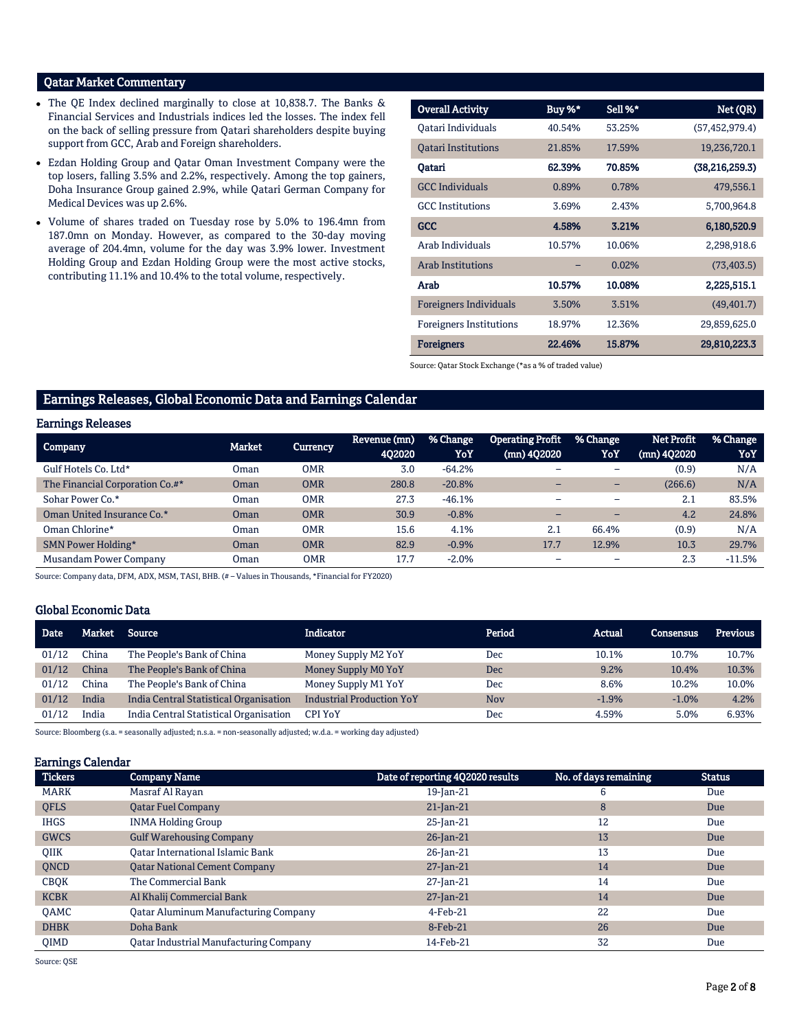## Qatar Market Commentary

- The QE Index declined marginally to close at 10,838.7. The Banks & Financial Services and Industrials indices led the losses. The index fell on the back of selling pressure from Qatari shareholders despite buying support from GCC, Arab and Foreign shareholders.
- Ezdan Holding Group and Qatar Oman Investment Company were the top losers, falling 3.5% and 2.2%, respectively. Among the top gainers, Doha Insurance Group gained 2.9%, while Qatari German Company for Medical Devices was up 2.6%.
- Volume of shares traded on Tuesday rose by 5.0% to 196.4mn from 187.0mn on Monday. However, as compared to the 30-day moving average of 204.4mn, volume for the day was 3.9% lower. Investment Holding Group and Ezdan Holding Group were the most active stocks, contributing 11.1% and 10.4% to the total volume, respectively.

| <b>Overall Activity</b>        | Buy %* | Sell %* | Net (QR)         |
|--------------------------------|--------|---------|------------------|
| Oatari Individuals             | 40.54% | 53.25%  | (57, 452, 979.4) |
| <b>Oatari Institutions</b>     | 21.85% | 17.59%  | 19,236,720.1     |
| Oatari                         | 62.39% | 70.85%  | (38, 216, 259.3) |
| <b>GCC Individuals</b>         | 0.89%  | 0.78%   | 479,556.1        |
| <b>GCC</b> Institutions        | 3.69%  | 2.43%   | 5,700,964.8      |
| <b>GCC</b>                     | 4.58%  | 3.21%   | 6,180,520.9      |
| Arab Individuals               | 10.57% | 10.06%  | 2,298,918.6      |
| <b>Arab Institutions</b>       |        | 0.02%   | (73, 403.5)      |
| Arab                           | 10.57% | 10.08%  | 2,225,515.1      |
| <b>Foreigners Individuals</b>  | 3.50%  | 3.51%   | (49, 401.7)      |
| <b>Foreigners Institutions</b> | 18.97% | 12.36%  | 29,859,625.0     |
| <b>Foreigners</b>              | 22.46% | 15.87%  | 29,810,223.3     |

Source: Qatar Stock Exchange (\*as a % of traded value)

## Earnings Releases, Global Economic Data and Earnings Calendar

## Earnings Releases

| $-$                             |             |            |                        |                 |                                          |                          |                             |                 |
|---------------------------------|-------------|------------|------------------------|-----------------|------------------------------------------|--------------------------|-----------------------------|-----------------|
| <b>Company</b>                  | Market      | Currency   | Revenue (mn)<br>402020 | % Change<br>YoY | <b>Operating Profit</b><br>$(mn)$ 402020 | % Change<br>YoY          | Net Profit<br>$(mn)$ 402020 | % Change<br>YoY |
| Gulf Hotels Co. Ltd*            | Oman        | <b>OMR</b> | 3.0                    | $-64.2%$        |                                          | $\overline{\phantom{0}}$ | (0.9)                       | N/A             |
| The Financial Corporation Co.#* | <b>Oman</b> | <b>OMR</b> | 280.8                  | $-20.8%$        |                                          | $\overline{\phantom{0}}$ | (266.6)                     | N/A             |
| Sohar Power Co.*                | Oman        | <b>OMR</b> | 27.3                   | $-46.1%$        |                                          | $\overline{\phantom{a}}$ | 2.1                         | 83.5%           |
| Oman United Insurance Co.*      | <b>Oman</b> | <b>OMR</b> | 30.9                   | $-0.8%$         |                                          | $\overline{\phantom{0}}$ | 4.2                         | 24.8%           |
| Oman Chlorine*                  | Oman        | <b>OMR</b> | 15.6                   | 4.1%            | 2.1                                      | 66.4%                    | (0.9)                       | N/A             |
| SMN Power Holding*              | Oman        | <b>OMR</b> | 82.9                   | $-0.9%$         | 17.7                                     | 12.9%                    | 10.3                        | 29.7%           |
| Musandam Power Company          | Oman        | <b>OMR</b> | 17.7                   | $-2.0%$         |                                          |                          | 2.3                         | $-11.5%$        |

Source: Company data, DFM, ADX, MSM, TASI, BHB. (# – Values in Thousands, \*Financial for FY2020)

## Global Economic Data

| <b>Date</b> | Market | Source                                 | <b>Indicator</b>                 | Period     | Actual  | <b>Consensus</b> | <b>Previous</b> |
|-------------|--------|----------------------------------------|----------------------------------|------------|---------|------------------|-----------------|
| 01/12       | China  | The People's Bank of China             | Money Supply M2 YoY              | Dec        | 10.1%   | 10.7%            | 10.7%           |
| 01/12       | China  | The People's Bank of China             | Money Supply M0 YoY              | Dec        | 9.2%    | 10.4%            | 10.3%           |
| 01/12       | China  | The People's Bank of China             | Money Supply M1 YoY              | Dec        | 8.6%    | 10.2%            | 10.0%           |
| 01/12       | India  | India Central Statistical Organisation | <b>Industrial Production YoY</b> | <b>Nov</b> | $-1.9%$ | $-1.0%$          | 4.2%            |
| 01/12       | India  | India Central Statistical Organisation | <b>CPI YoY</b>                   | Dec        | 4.59%   | 5.0%             | 6.93%           |

Source: Bloomberg (s.a. = seasonally adjusted; n.s.a. = non-seasonally adjusted; w.d.a. = working day adjusted)

#### Earnings Calendar

| <b>Tickers</b> | <b>Company Name</b>                           | Date of reporting 4Q2020 results | No. of days remaining | <b>Status</b> |
|----------------|-----------------------------------------------|----------------------------------|-----------------------|---------------|
| MARK           | Masraf Al Rayan                               | 19-Jan-21                        | 6                     | Due           |
| <b>OFLS</b>    | <b>Qatar Fuel Company</b>                     | $21$ -Jan-21                     | 8                     | Due           |
| <b>IHGS</b>    | <b>INMA Holding Group</b>                     | $25$ -Jan-21                     | 12                    | Due           |
| <b>GWCS</b>    | <b>Gulf Warehousing Company</b>               | 26-Jan-21                        | 13                    | Due           |
| <b>OIIK</b>    | Oatar International Islamic Bank              | 26-Jan-21                        | 13                    | Due           |
| <b>ONCD</b>    | <b>Qatar National Cement Company</b>          | 27-Jan-21                        | 14                    | Due           |
| <b>CBOK</b>    | The Commercial Bank                           | 27-Jan-21                        | 14                    | Due           |
| <b>KCBK</b>    | Al Khalij Commercial Bank                     | $27$ -Jan-21                     | 14                    | Due           |
| <b>OAMC</b>    | <b>Qatar Aluminum Manufacturing Company</b>   | $4$ -Feb-21                      | 22                    | Due           |
| <b>DHBK</b>    | Doha Bank                                     | 8-Feb-21                         | 26                    | Due           |
| <b>OIMD</b>    | <b>Qatar Industrial Manufacturing Company</b> | 14-Feb-21                        | 32                    | Due           |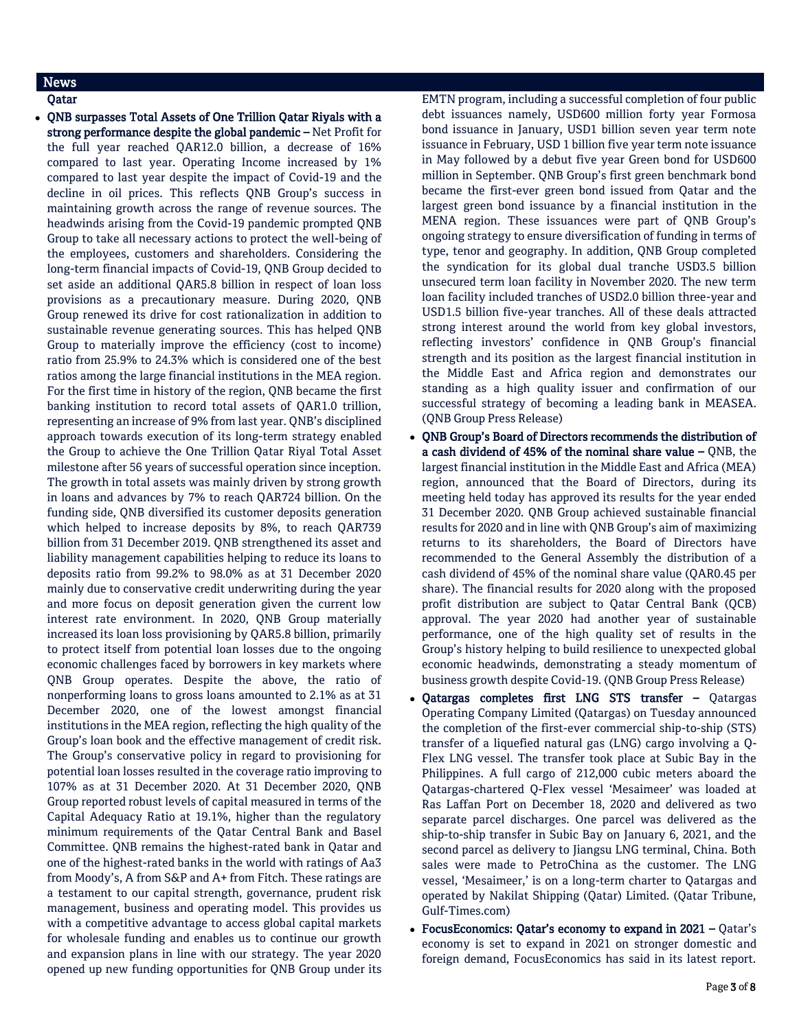## News

Qatar

• ONB surpasses Total Assets of One Trillion Qatar Riyals with a strong performance despite the global pandemic – Net Profit for the full year reached QAR12.0 billion, a decrease of 16% compared to last year. Operating Income increased by 1% compared to last year despite the impact of Covid-19 and the decline in oil prices. This reflects QNB Group's success in maintaining growth across the range of revenue sources. The headwinds arising from the Covid-19 pandemic prompted QNB Group to take all necessary actions to protect the well-being of the employees, customers and shareholders. Considering the long-term financial impacts of Covid-19, QNB Group decided to set aside an additional QAR5.8 billion in respect of loan loss provisions as a precautionary measure. During 2020, QNB Group renewed its drive for cost rationalization in addition to sustainable revenue generating sources. This has helped QNB Group to materially improve the efficiency (cost to income) ratio from 25.9% to 24.3% which is considered one of the best ratios among the large financial institutions in the MEA region. For the first time in history of the region, QNB became the first banking institution to record total assets of QAR1.0 trillion, representing an increase of 9% from last year. QNB's disciplined approach towards execution of its long-term strategy enabled the Group to achieve the One Trillion Qatar Riyal Total Asset milestone after 56 years of successful operation since inception. The growth in total assets was mainly driven by strong growth in loans and advances by 7% to reach QAR724 billion. On the funding side, QNB diversified its customer deposits generation which helped to increase deposits by 8%, to reach QAR739 billion from 31 December 2019. QNB strengthened its asset and liability management capabilities helping to reduce its loans to deposits ratio from 99.2% to 98.0% as at 31 December 2020 mainly due to conservative credit underwriting during the year and more focus on deposit generation given the current low interest rate environment. In 2020, QNB Group materially increased its loan loss provisioning by QAR5.8 billion, primarily to protect itself from potential loan losses due to the ongoing economic challenges faced by borrowers in key markets where QNB Group operates. Despite the above, the ratio of nonperforming loans to gross loans amounted to 2.1% as at 31 December 2020, one of the lowest amongst financial institutions in the MEA region, reflecting the high quality of the Group's loan book and the effective management of credit risk. The Group's conservative policy in regard to provisioning for potential loan losses resulted in the coverage ratio improving to 107% as at 31 December 2020. At 31 December 2020, QNB Group reported robust levels of capital measured in terms of the Capital Adequacy Ratio at 19.1%, higher than the regulatory minimum requirements of the Qatar Central Bank and Basel Committee. QNB remains the highest-rated bank in Qatar and one of the highest-rated banks in the world with ratings of Aa3 from Moody's, A from S&P and A+ from Fitch. These ratings are a testament to our capital strength, governance, prudent risk management, business and operating model. This provides us with a competitive advantage to access global capital markets for wholesale funding and enables us to continue our growth and expansion plans in line with our strategy. The year 2020 opened up new funding opportunities for QNB Group under its

EMTN program, including a successful completion of four public debt issuances namely, USD600 million forty year Formosa bond issuance in January, USD1 billion seven year term note issuance in February, USD 1 billion five year term note issuance in May followed by a debut five year Green bond for USD600 million in September. QNB Group's first green benchmark bond became the first-ever green bond issued from Qatar and the largest green bond issuance by a financial institution in the MENA region. These issuances were part of QNB Group's ongoing strategy to ensure diversification of funding in terms of type, tenor and geography. In addition, QNB Group completed the syndication for its global dual tranche USD3.5 billion unsecured term loan facility in November 2020. The new term loan facility included tranches of USD2.0 billion three-year and USD1.5 billion five-year tranches. All of these deals attracted strong interest around the world from key global investors, reflecting investors' confidence in QNB Group's financial strength and its position as the largest financial institution in the Middle East and Africa region and demonstrates our standing as a high quality issuer and confirmation of our successful strategy of becoming a leading bank in MEASEA. (QNB Group Press Release)

- QNB Group's Board of Directors recommends the distribution of a cash dividend of 45% of the nominal share value  $-$  QNB, the largest financial institution in the Middle East and Africa (MEA) region, announced that the Board of Directors, during its meeting held today has approved its results for the year ended 31 December 2020. QNB Group achieved sustainable financial results for 2020 and in line with QNB Group's aim of maximizing returns to its shareholders, the Board of Directors have recommended to the General Assembly the distribution of a cash dividend of 45% of the nominal share value (QAR0.45 per share). The financial results for 2020 along with the proposed profit distribution are subject to Qatar Central Bank (QCB) approval. The year 2020 had another year of sustainable performance, one of the high quality set of results in the Group's history helping to build resilience to unexpected global economic headwinds, demonstrating a steady momentum of business growth despite Covid-19. (QNB Group Press Release)
- Qatargas completes first LNG STS transfer Qatargas Operating Company Limited (Qatargas) on Tuesday announced the completion of the first-ever commercial ship-to-ship (STS) transfer of a liquefied natural gas (LNG) cargo involving a Q-Flex LNG vessel. The transfer took place at Subic Bay in the Philippines. A full cargo of 212,000 cubic meters aboard the Qatargas-chartered Q-Flex vessel 'Mesaimeer' was loaded at Ras Laffan Port on December 18, 2020 and delivered as two separate parcel discharges. One parcel was delivered as the ship-to-ship transfer in Subic Bay on January 6, 2021, and the second parcel as delivery to Jiangsu LNG terminal, China. Both sales were made to PetroChina as the customer. The LNG vessel, 'Mesaimeer,' is on a long-term charter to Qatargas and operated by Nakilat Shipping (Qatar) Limited. (Qatar Tribune, Gulf-Times.com)
- FocusEconomics: Qatar's economy to expand in 2021 Qatar's economy is set to expand in 2021 on stronger domestic and foreign demand, FocusEconomics has said in its latest report.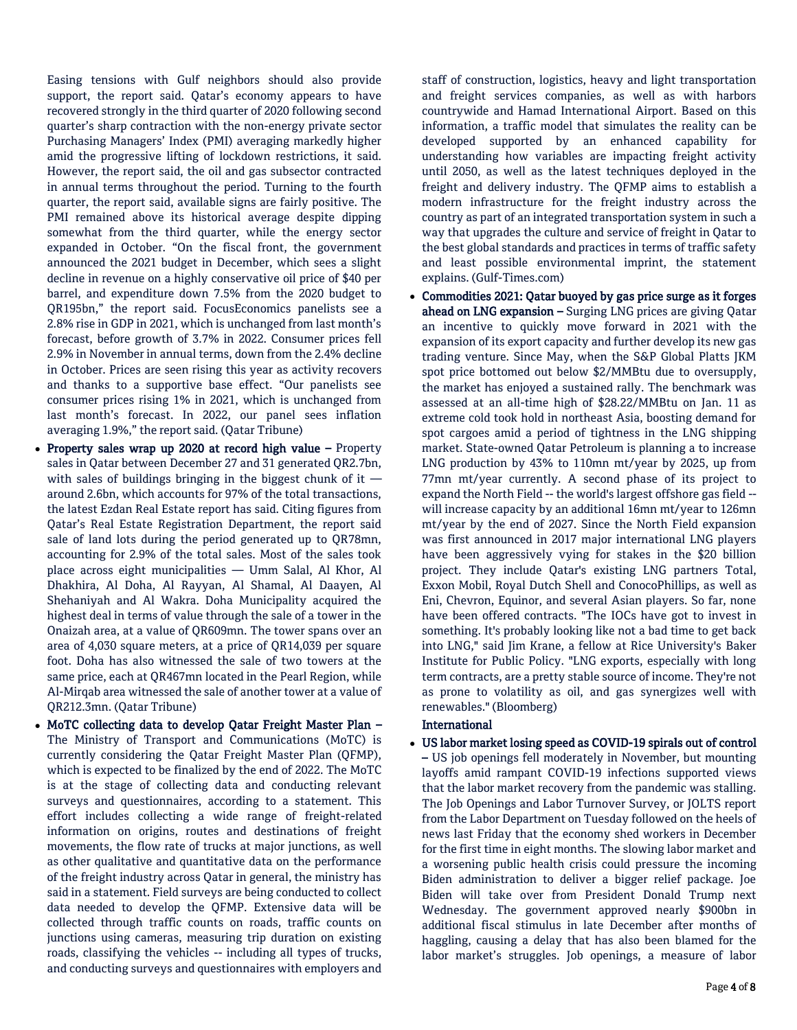Easing tensions with Gulf neighbors should also provide support, the report said. Qatar's economy appears to have recovered strongly in the third quarter of 2020 following second quarter's sharp contraction with the non-energy private sector Purchasing Managers' Index (PMI) averaging markedly higher amid the progressive lifting of lockdown restrictions, it said. However, the report said, the oil and gas subsector contracted in annual terms throughout the period. Turning to the fourth quarter, the report said, available signs are fairly positive. The PMI remained above its historical average despite dipping somewhat from the third quarter, while the energy sector expanded in October. "On the fiscal front, the government announced the 2021 budget in December, which sees a slight decline in revenue on a highly conservative oil price of \$40 per barrel, and expenditure down 7.5% from the 2020 budget to QR195bn," the report said. FocusEconomics panelists see a 2.8% rise in GDP in 2021, which is unchanged from last month's forecast, before growth of 3.7% in 2022. Consumer prices fell 2.9% in November in annual terms, down from the 2.4% decline in October. Prices are seen rising this year as activity recovers and thanks to a supportive base effect. "Our panelists see consumer prices rising 1% in 2021, which is unchanged from last month's forecast. In 2022, our panel sees inflation averaging 1.9%," the report said. (Qatar Tribune)

- Property sales wrap up 2020 at record high value Property sales in Qatar between December 27 and 31 generated QR2.7bn, with sales of buildings bringing in the biggest chunk of it around 2.6bn, which accounts for 97% of the total transactions, the latest Ezdan Real Estate report has said. Citing figures from Qatar's Real Estate Registration Department, the report said sale of land lots during the period generated up to QR78mn, accounting for 2.9% of the total sales. Most of the sales took place across eight municipalities — Umm Salal, Al Khor, Al Dhakhira, Al Doha, Al Rayyan, Al Shamal, Al Daayen, Al Shehaniyah and Al Wakra. Doha Municipality acquired the highest deal in terms of value through the sale of a tower in the Onaizah area, at a value of QR609mn. The tower spans over an area of 4,030 square meters, at a price of QR14,039 per square foot. Doha has also witnessed the sale of two towers at the same price, each at QR467mn located in the Pearl Region, while Al-Mirqab area witnessed the sale of another tower at a value of QR212.3mn. (Qatar Tribune)
- MoTC collecting data to develop Qatar Freight Master Plan The Ministry of Transport and Communications (MoTC) is currently considering the Qatar Freight Master Plan (QFMP), which is expected to be finalized by the end of 2022. The MoTC is at the stage of collecting data and conducting relevant surveys and questionnaires, according to a statement. This effort includes collecting a wide range of freight-related information on origins, routes and destinations of freight movements, the flow rate of trucks at major junctions, as well as other qualitative and quantitative data on the performance of the freight industry across Qatar in general, the ministry has said in a statement. Field surveys are being conducted to collect data needed to develop the QFMP. Extensive data will be collected through traffic counts on roads, traffic counts on junctions using cameras, measuring trip duration on existing roads, classifying the vehicles -- including all types of trucks, and conducting surveys and questionnaires with employers and

staff of construction, logistics, heavy and light transportation and freight services companies, as well as with harbors countrywide and Hamad International Airport. Based on this information, a traffic model that simulates the reality can be developed supported by an enhanced capability for understanding how variables are impacting freight activity until 2050, as well as the latest techniques deployed in the freight and delivery industry. The QFMP aims to establish a modern infrastructure for the freight industry across the country as part of an integrated transportation system in such a way that upgrades the culture and service of freight in Qatar to the best global standards and practices in terms of traffic safety and least possible environmental imprint, the statement explains. (Gulf-Times.com)

 Commodities 2021: Qatar buoyed by gas price surge as it forges ahead on LNG expansion – Surging LNG prices are giving Qatar an incentive to quickly move forward in 2021 with the expansion of its export capacity and further develop its new gas trading venture. Since May, when the S&P Global Platts JKM spot price bottomed out below \$2/MMBtu due to oversupply, the market has enjoyed a sustained rally. The benchmark was assessed at an all-time high of \$28.22/MMBtu on Jan. 11 as extreme cold took hold in northeast Asia, boosting demand for spot cargoes amid a period of tightness in the LNG shipping market. State-owned Qatar Petroleum is planning a to increase LNG production by 43% to 110mn mt/year by 2025, up from 77mn mt/year currently. A second phase of its project to expand the North Field -- the world's largest offshore gas field - will increase capacity by an additional 16mn mt/year to 126mn mt/year by the end of 2027. Since the North Field expansion was first announced in 2017 major international LNG players have been aggressively vying for stakes in the \$20 billion project. They include Qatar's existing LNG partners Total, Exxon Mobil, Royal Dutch Shell and ConocoPhillips, as well as Eni, Chevron, Equinor, and several Asian players. So far, none have been offered contracts. "The IOCs have got to invest in something. It's probably looking like not a bad time to get back into LNG," said Jim Krane, a fellow at Rice University's Baker Institute for Public Policy. "LNG exports, especially with long term contracts, are a pretty stable source of income. They're not as prone to volatility as oil, and gas synergizes well with renewables." (Bloomberg)

## International

 US labor market losing speed as COVID-19 spirals out of control – US job openings fell moderately in November, but mounting layoffs amid rampant COVID-19 infections supported views that the labor market recovery from the pandemic was stalling. The Job Openings and Labor Turnover Survey, or JOLTS report from the Labor Department on Tuesday followed on the heels of news last Friday that the economy shed workers in December for the first time in eight months. The slowing labor market and a worsening public health crisis could pressure the incoming Biden administration to deliver a bigger relief package. Joe Biden will take over from President Donald Trump next Wednesday. The government approved nearly \$900bn in additional fiscal stimulus in late December after months of haggling, causing a delay that has also been blamed for the labor market's struggles. Job openings, a measure of labor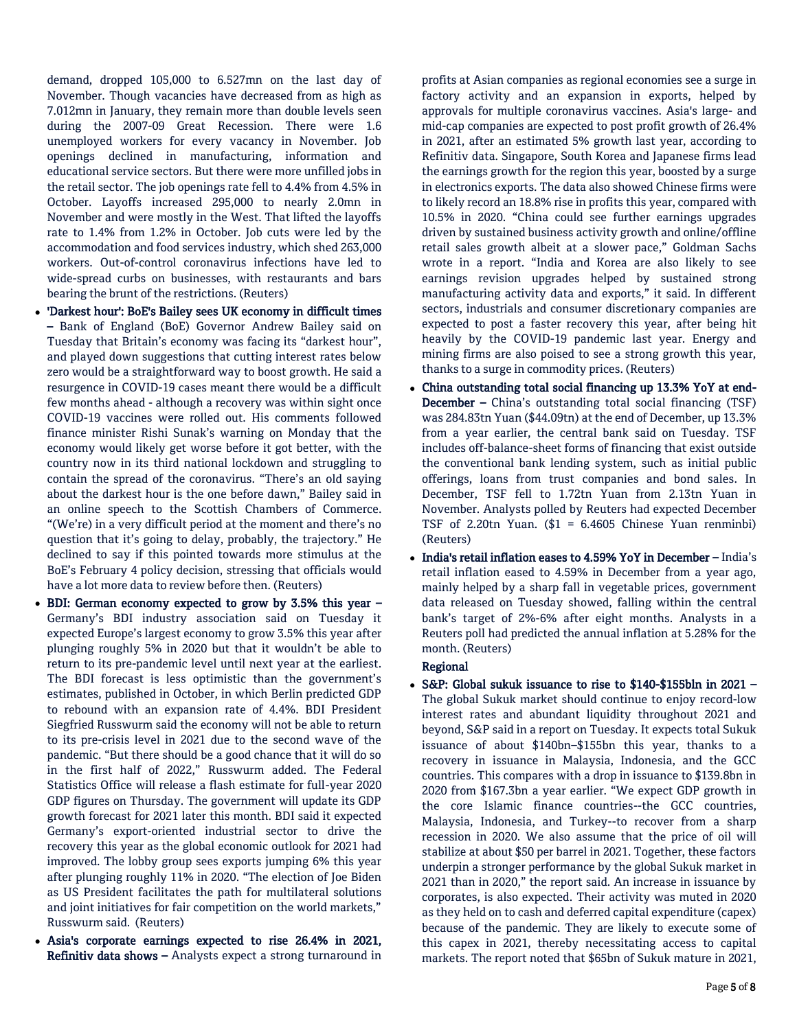demand, dropped 105,000 to 6.527mn on the last day of November. Though vacancies have decreased from as high as 7.012mn in January, they remain more than double levels seen during the 2007-09 Great Recession. There were 1.6 unemployed workers for every vacancy in November. Job openings declined in manufacturing, information and educational service sectors. But there were more unfilled jobs in the retail sector. The job openings rate fell to 4.4% from 4.5% in October. Layoffs increased 295,000 to nearly 2.0mn in November and were mostly in the West. That lifted the layoffs rate to 1.4% from 1.2% in October. Job cuts were led by the accommodation and food services industry, which shed 263,000 workers. Out-of-control coronavirus infections have led to wide-spread curbs on businesses, with restaurants and bars bearing the brunt of the restrictions. (Reuters)

- 'Darkest hour': BoE's Bailey sees UK economy in difficult times – Bank of England (BoE) Governor Andrew Bailey said on Tuesday that Britain's economy was facing its "darkest hour", and played down suggestions that cutting interest rates below zero would be a straightforward way to boost growth. He said a resurgence in COVID-19 cases meant there would be a difficult few months ahead - although a recovery was within sight once COVID-19 vaccines were rolled out. His comments followed finance minister Rishi Sunak's warning on Monday that the economy would likely get worse before it got better, with the country now in its third national lockdown and struggling to contain the spread of the coronavirus. "There's an old saying about the darkest hour is the one before dawn," Bailey said in an online speech to the Scottish Chambers of Commerce. "(We're) in a very difficult period at the moment and there's no question that it's going to delay, probably, the trajectory." He declined to say if this pointed towards more stimulus at the BoE's February 4 policy decision, stressing that officials would have a lot more data to review before then. (Reuters)
- BDI: German economy expected to grow by 3.5% this year Germany's BDI industry association said on Tuesday it expected Europe's largest economy to grow 3.5% this year after plunging roughly 5% in 2020 but that it wouldn't be able to return to its pre-pandemic level until next year at the earliest. The BDI forecast is less optimistic than the government's estimates, published in October, in which Berlin predicted GDP to rebound with an expansion rate of 4.4%. BDI President Siegfried Russwurm said the economy will not be able to return to its pre-crisis level in 2021 due to the second wave of the pandemic. "But there should be a good chance that it will do so in the first half of 2022," Russwurm added. The Federal Statistics Office will release a flash estimate for full-year 2020 GDP figures on Thursday. The government will update its GDP growth forecast for 2021 later this month. BDI said it expected Germany's export-oriented industrial sector to drive the recovery this year as the global economic outlook for 2021 had improved. The lobby group sees exports jumping 6% this year after plunging roughly 11% in 2020. "The election of Joe Biden as US President facilitates the path for multilateral solutions and joint initiatives for fair competition on the world markets," Russwurm said. (Reuters)
- Asia's corporate earnings expected to rise 26.4% in 2021, Refinitiv data shows – Analysts expect a strong turnaround in

profits at Asian companies as regional economies see a surge in factory activity and an expansion in exports, helped by approvals for multiple coronavirus vaccines. Asia's large- and mid-cap companies are expected to post profit growth of 26.4% in 2021, after an estimated 5% growth last year, according to Refinitiv data. Singapore, South Korea and Japanese firms lead the earnings growth for the region this year, boosted by a surge in electronics exports. The data also showed Chinese firms were to likely record an 18.8% rise in profits this year, compared with 10.5% in 2020. "China could see further earnings upgrades driven by sustained business activity growth and online/offline retail sales growth albeit at a slower pace," Goldman Sachs wrote in a report. "India and Korea are also likely to see earnings revision upgrades helped by sustained strong manufacturing activity data and exports," it said. In different sectors, industrials and consumer discretionary companies are expected to post a faster recovery this year, after being hit heavily by the COVID-19 pandemic last year. Energy and mining firms are also poised to see a strong growth this year, thanks to a surge in commodity prices. (Reuters)

- China outstanding total social financing up 13.3% YoY at end-December – China's outstanding total social financing (TSF) was 284.83tn Yuan (\$44.09tn) at the end of December, up 13.3% from a year earlier, the central bank said on Tuesday. TSF includes off-balance-sheet forms of financing that exist outside the conventional bank lending system, such as initial public offerings, loans from trust companies and bond sales. In December, TSF fell to 1.72tn Yuan from 2.13tn Yuan in November. Analysts polled by Reuters had expected December TSF of 2.20tn Yuan. (\$1 = 6.4605 Chinese Yuan renminbi) (Reuters)
- India's retail inflation eases to 4.59% YoY in December India's retail inflation eased to 4.59% in December from a year ago, mainly helped by a sharp fall in vegetable prices, government data released on Tuesday showed, falling within the central bank's target of 2%-6% after eight months. Analysts in a Reuters poll had predicted the annual inflation at 5.28% for the month. (Reuters)

## Regional

 S&P: Global sukuk issuance to rise to \$140-\$155bln in 2021 – The global Sukuk market should continue to enjoy record-low interest rates and abundant liquidity throughout 2021 and beyond, S&P said in a report on Tuesday. It expects total Sukuk issuance of about \$140bn–\$155bn this year, thanks to a recovery in issuance in Malaysia, Indonesia, and the GCC countries. This compares with a drop in issuance to \$139.8bn in 2020 from \$167.3bn a year earlier. "We expect GDP growth in the core Islamic finance countries--the GCC countries, Malaysia, Indonesia, and Turkey--to recover from a sharp recession in 2020. We also assume that the price of oil will stabilize at about \$50 per barrel in 2021. Together, these factors underpin a stronger performance by the global Sukuk market in 2021 than in 2020," the report said. An increase in issuance by corporates, is also expected. Their activity was muted in 2020 as they held on to cash and deferred capital expenditure (capex) because of the pandemic. They are likely to execute some of this capex in 2021, thereby necessitating access to capital markets. The report noted that \$65bn of Sukuk mature in 2021,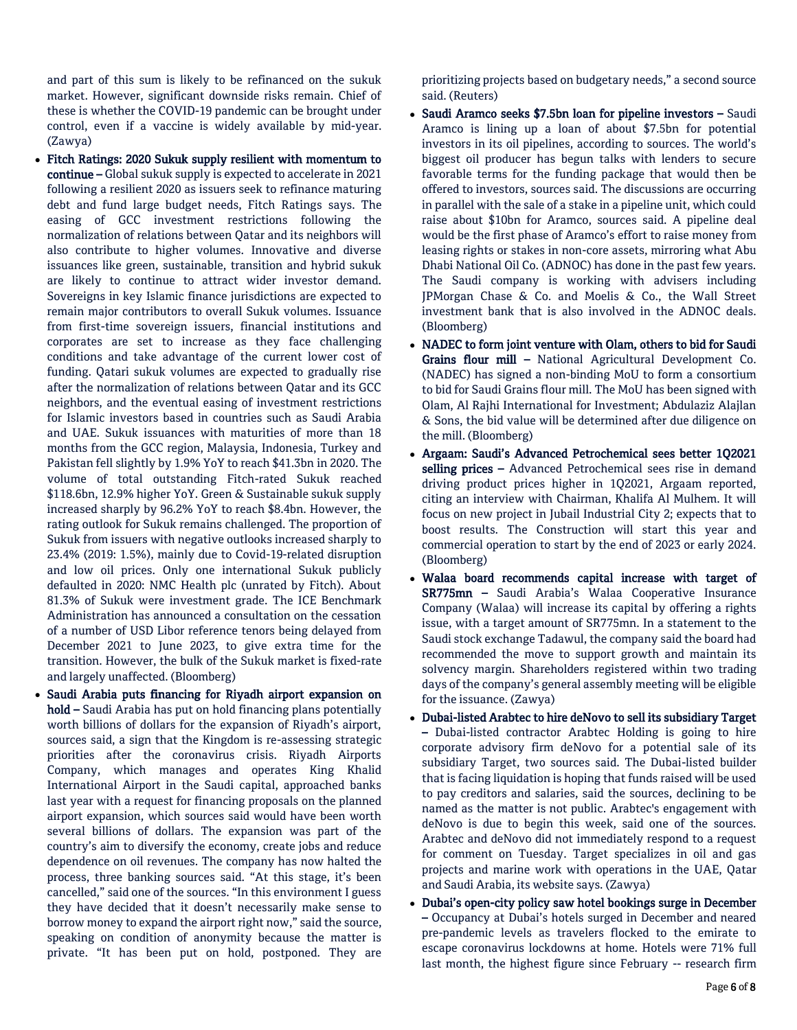and part of this sum is likely to be refinanced on the sukuk market. However, significant downside risks remain. Chief of these is whether the COVID-19 pandemic can be brought under control, even if a vaccine is widely available by mid-year. (Zawya)

- Fitch Ratings: 2020 Sukuk supply resilient with momentum to continue – Global sukuk supply is expected to accelerate in 2021 following a resilient 2020 as issuers seek to refinance maturing debt and fund large budget needs, Fitch Ratings says. The easing of GCC investment restrictions following the normalization of relations between Qatar and its neighbors will also contribute to higher volumes. Innovative and diverse issuances like green, sustainable, transition and hybrid sukuk are likely to continue to attract wider investor demand. Sovereigns in key Islamic finance jurisdictions are expected to remain major contributors to overall Sukuk volumes. Issuance from first-time sovereign issuers, financial institutions and corporates are set to increase as they face challenging conditions and take advantage of the current lower cost of funding. Qatari sukuk volumes are expected to gradually rise after the normalization of relations between Qatar and its GCC neighbors, and the eventual easing of investment restrictions for Islamic investors based in countries such as Saudi Arabia and UAE. Sukuk issuances with maturities of more than 18 months from the GCC region, Malaysia, Indonesia, Turkey and Pakistan fell slightly by 1.9% YoY to reach \$41.3bn in 2020. The volume of total outstanding Fitch-rated Sukuk reached \$118.6bn, 12.9% higher YoY. Green & Sustainable sukuk supply increased sharply by 96.2% YoY to reach \$8.4bn. However, the rating outlook for Sukuk remains challenged. The proportion of Sukuk from issuers with negative outlooks increased sharply to 23.4% (2019: 1.5%), mainly due to Covid-19-related disruption and low oil prices. Only one international Sukuk publicly defaulted in 2020: NMC Health plc (unrated by Fitch). About 81.3% of Sukuk were investment grade. The ICE Benchmark Administration has announced a consultation on the cessation of a number of USD Libor reference tenors being delayed from December 2021 to June 2023, to give extra time for the transition. However, the bulk of the Sukuk market is fixed-rate and largely unaffected. (Bloomberg)
- Saudi Arabia puts financing for Riyadh airport expansion on hold – Saudi Arabia has put on hold financing plans potentially worth billions of dollars for the expansion of Riyadh's airport, sources said, a sign that the Kingdom is re-assessing strategic priorities after the coronavirus crisis. Riyadh Airports Company, which manages and operates King Khalid International Airport in the Saudi capital, approached banks last year with a request for financing proposals on the planned airport expansion, which sources said would have been worth several billions of dollars. The expansion was part of the country's aim to diversify the economy, create jobs and reduce dependence on oil revenues. The company has now halted the process, three banking sources said. "At this stage, it's been cancelled," said one of the sources. "In this environment I guess they have decided that it doesn't necessarily make sense to borrow money to expand the airport right now," said the source, speaking on condition of anonymity because the matter is private. "It has been put on hold, postponed. They are

prioritizing projects based on budgetary needs," a second source said. (Reuters)

- Saudi Aramco seeks \$7.5bn loan for pipeline investors Saudi Aramco is lining up a loan of about \$7.5bn for potential investors in its oil pipelines, according to sources. The world's biggest oil producer has begun talks with lenders to secure favorable terms for the funding package that would then be offered to investors, sources said. The discussions are occurring in parallel with the sale of a stake in a pipeline unit, which could raise about \$10bn for Aramco, sources said. A pipeline deal would be the first phase of Aramco's effort to raise money from leasing rights or stakes in non-core assets, mirroring what Abu Dhabi National Oil Co. (ADNOC) has done in the past few years. The Saudi company is working with advisers including JPMorgan Chase & Co. and Moelis & Co., the Wall Street investment bank that is also involved in the ADNOC deals. (Bloomberg)
- NADEC to form joint venture with Olam, others to bid for Saudi Grains flour mill - National Agricultural Development Co. (NADEC) has signed a non-binding MoU to form a consortium to bid for Saudi Grains flour mill. The MoU has been signed with Olam, Al Rajhi International for Investment; Abdulaziz Alajlan & Sons, the bid value will be determined after due diligence on the mill. (Bloomberg)
- Argaam: Saudi's Advanced Petrochemical sees better 1Q2021 selling prices - Advanced Petrochemical sees rise in demand driving product prices higher in 1Q2021, Argaam reported, citing an interview with Chairman, Khalifa Al Mulhem. It will focus on new project in Jubail Industrial City 2; expects that to boost results. The Construction will start this year and commercial operation to start by the end of 2023 or early 2024. (Bloomberg)
- Walaa board recommends capital increase with target of SR775mn – Saudi Arabia's Walaa Cooperative Insurance Company (Walaa) will increase its capital by offering a rights issue, with a target amount of SR775mn. In a statement to the Saudi stock exchange Tadawul, the company said the board had recommended the move to support growth and maintain its solvency margin. Shareholders registered within two trading days of the company's general assembly meeting will be eligible for the issuance. (Zawya)
- Dubai-listed Arabtec to hire deNovo to sell its subsidiary Target – Dubai-listed contractor Arabtec Holding is going to hire corporate advisory firm deNovo for a potential sale of its subsidiary Target, two sources said. The Dubai-listed builder that is facing liquidation is hoping that funds raised will be used to pay creditors and salaries, said the sources, declining to be named as the matter is not public. Arabtec's engagement with deNovo is due to begin this week, said one of the sources. Arabtec and deNovo did not immediately respond to a request for comment on Tuesday. Target specializes in oil and gas projects and marine work with operations in the UAE, Qatar and Saudi Arabia, its website says. (Zawya)
- Dubai's open-city policy saw hotel bookings surge in December – Occupancy at Dubai's hotels surged in December and neared pre-pandemic levels as travelers flocked to the emirate to escape coronavirus lockdowns at home. Hotels were 71% full last month, the highest figure since February -- research firm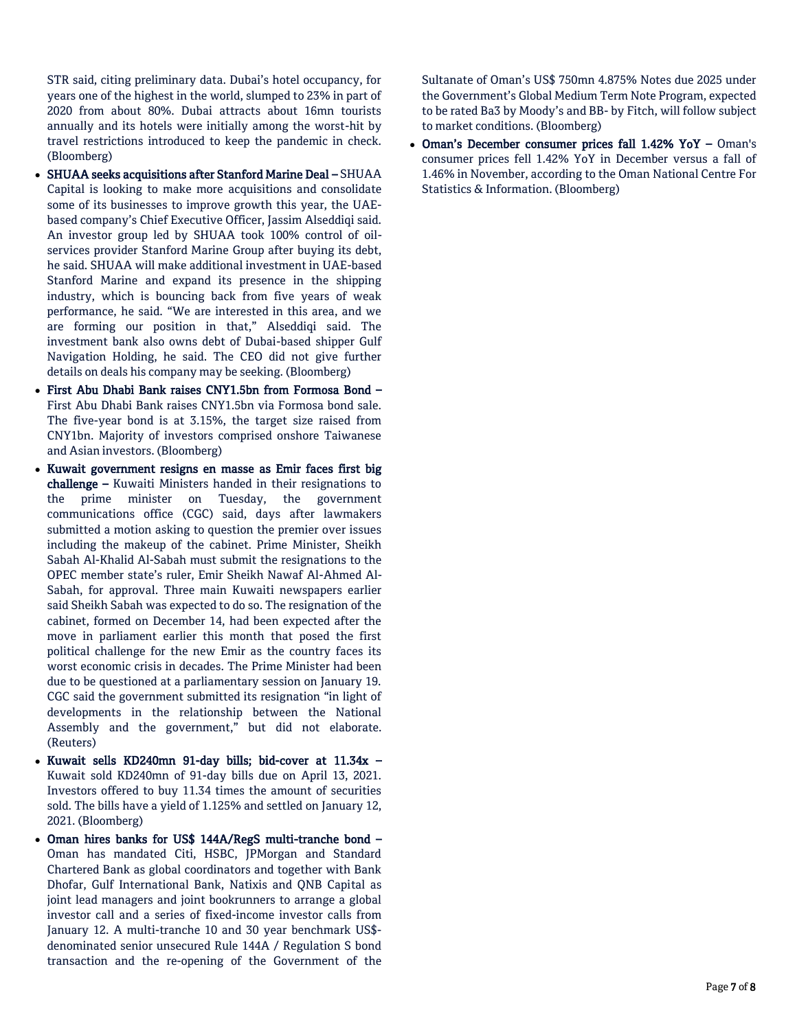STR said, citing preliminary data. Dubai's hotel occupancy, for years one of the highest in the world, slumped to 23% in part of 2020 from about 80%. Dubai attracts about 16mn tourists annually and its hotels were initially among the worst-hit by travel restrictions introduced to keep the pandemic in check. (Bloomberg)

- SHUAA seeks acquisitions after Stanford Marine Deal SHUAA Capital is looking to make more acquisitions and consolidate some of its businesses to improve growth this year, the UAEbased company's Chief Executive Officer, Jassim Alseddiqi said. An investor group led by SHUAA took 100% control of oilservices provider Stanford Marine Group after buying its debt, he said. SHUAA will make additional investment in UAE-based Stanford Marine and expand its presence in the shipping industry, which is bouncing back from five years of weak performance, he said. "We are interested in this area, and we are forming our position in that," Alseddiqi said. The investment bank also owns debt of Dubai-based shipper Gulf Navigation Holding, he said. The CEO did not give further details on deals his company may be seeking. (Bloomberg)
- First Abu Dhabi Bank raises CNY1.5bn from Formosa Bond First Abu Dhabi Bank raises CNY1.5bn via Formosa bond sale. The five-year bond is at 3.15%, the target size raised from CNY1bn. Majority of investors comprised onshore Taiwanese and Asian investors. (Bloomberg)
- Kuwait government resigns en masse as Emir faces first big challenge – Kuwaiti Ministers handed in their resignations to the prime minister on Tuesday, the government communications office (CGC) said, days after lawmakers submitted a motion asking to question the premier over issues including the makeup of the cabinet. Prime Minister, Sheikh Sabah Al-Khalid Al-Sabah must submit the resignations to the OPEC member state's ruler, Emir Sheikh Nawaf Al-Ahmed Al-Sabah, for approval. Three main Kuwaiti newspapers earlier said Sheikh Sabah was expected to do so. The resignation of the cabinet, formed on December 14, had been expected after the move in parliament earlier this month that posed the first political challenge for the new Emir as the country faces its worst economic crisis in decades. The Prime Minister had been due to be questioned at a parliamentary session on January 19. CGC said the government submitted its resignation "in light of developments in the relationship between the National Assembly and the government," but did not elaborate. (Reuters)
- Kuwait sells KD240mn 91-day bills; bid-cover at 11.34x Kuwait sold KD240mn of 91-day bills due on April 13, 2021. Investors offered to buy 11.34 times the amount of securities sold. The bills have a yield of 1.125% and settled on January 12, 2021. (Bloomberg)
- Oman hires banks for US\$ 144A/RegS multi-tranche bond Oman has mandated Citi, HSBC, JPMorgan and Standard Chartered Bank as global coordinators and together with Bank Dhofar, Gulf International Bank, Natixis and QNB Capital as joint lead managers and joint bookrunners to arrange a global investor call and a series of fixed-income investor calls from January 12. A multi-tranche 10 and 30 year benchmark US\$ denominated senior unsecured Rule 144A / Regulation S bond transaction and the re-opening of the Government of the

Sultanate of Oman's US\$ 750mn 4.875% Notes due 2025 under the Government's Global Medium Term Note Program, expected to be rated Ba3 by Moody's and BB- by Fitch, will follow subject to market conditions. (Bloomberg)

 Oman's December consumer prices fall 1.42% YoY – Oman's consumer prices fell 1.42% YoY in December versus a fall of 1.46% in November, according to the Oman National Centre For Statistics & Information. (Bloomberg)